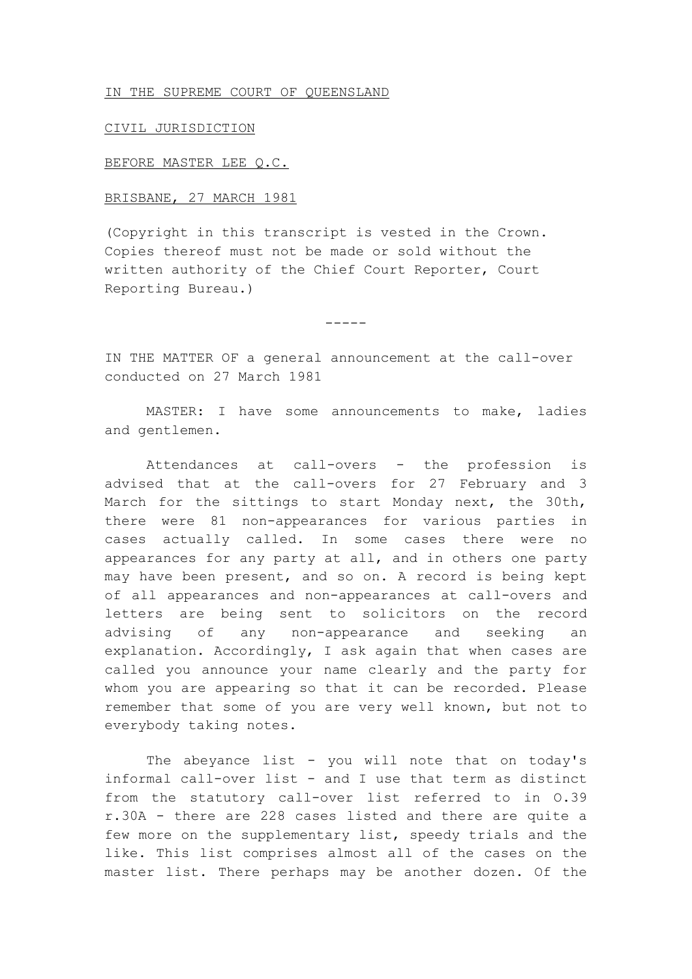## IN THE SUPREME COURT OF QUEENSLAND

## CIVIL JURISDICTION

## BEFORE MASTER LEE Q.C.

## BRISBANE, 27 MARCH 1981

(Copyright in this transcript is vested in the Crown. Copies thereof must not be made or sold without the written authority of the Chief Court Reporter, Court Reporting Bureau.)

-----

IN THE MATTER OF a general announcement at the call-over conducted on 27 March 1981

MASTER: I have some announcements to make, ladies and gentlemen.

Attendances at call-overs - the profession is advised that at the call-overs for 27 February and 3 March for the sittings to start Monday next, the 30th, there were 81 non-appearances for various parties in cases actually called. In some cases there were no appearances for any party at all, and in others one party may have been present, and so on. A record is being kept of all appearances and non-appearances at call-overs and letters are being sent to solicitors on the record advising of any non-appearance and seeking an explanation. Accordingly, I ask again that when cases are called you announce your name clearly and the party for whom you are appearing so that it can be recorded. Please remember that some of you are very well known, but not to everybody taking notes.

The abeyance list - you will note that on today's informal call-over list - and I use that term as distinct from the statutory call-over list referred to in O.39 r.30A - there are 228 cases listed and there are quite a few more on the supplementary list, speedy trials and the like. This list comprises almost all of the cases on the master list. There perhaps may be another dozen. Of the